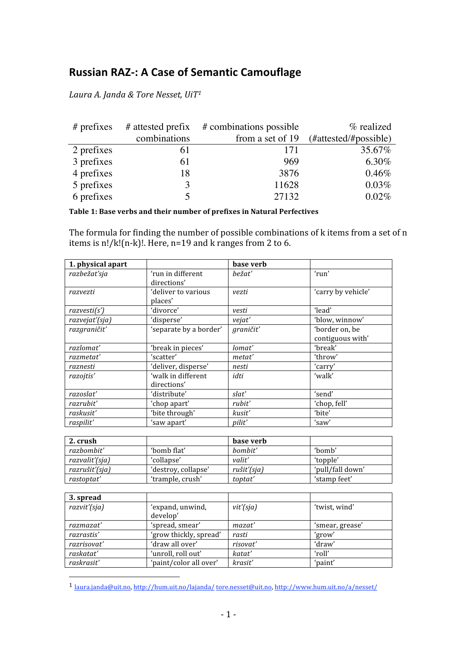## **Russian RAZ‐: A Case of Semantic Camouflage**

*Laura
A.
Janda
&
Tore
Nesset,
UiT1*

| $#$ prefixes |              | # attested prefix # combinations possible | % realized            |
|--------------|--------------|-------------------------------------------|-----------------------|
|              | combinations | from a set of 19                          | (#attested/#possible) |
| 2 prefixes   | 61           | 171                                       | 35.67%                |
| 3 prefixes   | 61           | 969                                       | 6.30%                 |
| 4 prefixes   | 18           | 3876                                      | 0.46%                 |
| 5 prefixes   |              | 11628                                     | 0.03%                 |
| 6 prefixes   |              | 27132                                     | 0.02%                 |

## **Table 1: Base verbs and their number of prefixes in Natural Perfectives**

The formula for finding the number of possible combinations of k items from a set of n items is  $n!/k!(n-k)!$ . Here,  $n=19$  and k ranges from 2 to 6.

| 1. physical apart |                                  | base verb     |                    |
|-------------------|----------------------------------|---------------|--------------------|
| razbežať sja      | ʻrun in different<br>directions' | bežať         | 'run'              |
| razvezti          | 'deliver to various<br>places'   | vezti         | 'carry by vehicle' |
| razvesti(s')      | 'divorce'                        | vesti         | 'lead'             |
| razvejať (sja)    | 'disperse'                       | vejat'        | 'blow, winnow'     |
| razgraničit'      | 'separate by a border'           | graničit'     | 'border on, be     |
|                   |                                  |               | contiguous with'   |
| razlomat'         | 'break in pieces'                | lomat'        | 'break'            |
| razmetat'         | 'scatter'                        | metat'        | 'throw'            |
| raznesti          | 'deliver, disperse'              | nesti         | 'carry'            |
| razojtis'         | 'walk in different               | idti          | 'walk'             |
|                   | directions'                      |               |                    |
| razoslat'         | 'distribute'                     | slat'         | 'send'             |
| razrubit'         | 'chop apart'                     | rubit'        | 'chop, fell'       |
| raskusit'         | 'bite through'                   | kusit'        | 'bite'             |
| raspilit'         | 'saw apart'                      | <i>pilit'</i> | 'saw'              |

| 2. crush       |                     | base verb   |                  |
|----------------|---------------------|-------------|------------------|
| razbombit'     | 'bomb flat'         | bombit'     | 'bomb'           |
| razvalit'(sja) | 'collapse'          | valit'      | 'topple'         |
| razrušiť (sja) | 'destroy, collapse' | rušit'(sja) | 'pull/fall down' |
| rastoptat'     | 'trample, crush'    | toptat'     | 'stamp feet'     |

| 3. spread    |                        |           |                 |
|--------------|------------------------|-----------|-----------------|
| razvit'(sja) | 'expand, unwind,       | vit'(sja) | 'twist, wind'   |
|              | develop'               |           |                 |
| razmazat'    | 'spread, smear'        | mazat'    | 'smear, grease' |
| razrastis'   | 'grow thickly, spread' | rasti     | 'grow'          |
| razrisovat'  | 'draw all over'        | risovat'  | 'draw'          |
| raskatat'    | 'unroll, roll out'     | katat'    | 'roll'          |
| raskrasit'   | 'paint/color all over' | krasit'   | 'paint'         |

<sup>1</sup> laura.janda@uit.no, http://hum.uit.no/lajanda/ tore.nesset@uit.no, http://www.hum.uit.no/a/nesset/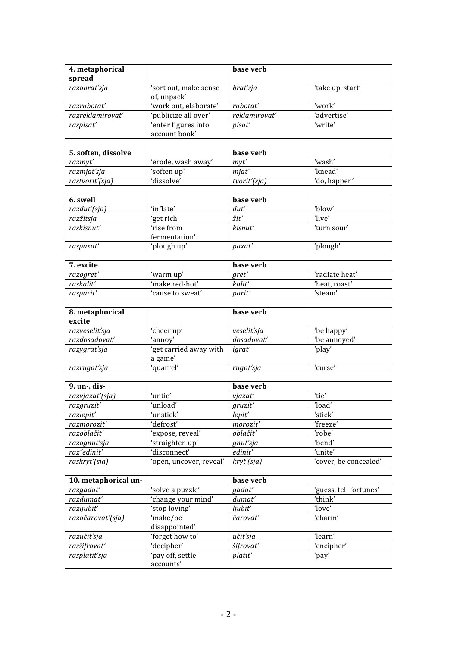| 4. metaphorical<br>spread |                                      | base verb     |                  |
|---------------------------|--------------------------------------|---------------|------------------|
| razobrať sja              | 'sort out, make sense<br>of, unpack' | brat'sja      | 'take up, start' |
| razrabotat'               | 'work out, elaborate'                | rabotat'      | 'work'           |
| razreklamirovať           | 'publicize all over'                 | reklamirovat' | 'advertise'      |
| raspisat'                 | 'enter figures into<br>account book' | pisat'        | 'write'          |

| 5. soften, dissolve |                    | base verb    |              |
|---------------------|--------------------|--------------|--------------|
| razmyt'             | 'erode, wash away' | mvt          | 'wash'       |
| razmjat'sja         | 'soften up'        | miat'        | 'knead'      |
| rastvoriť (sja)     | 'dissolve'         | tvorit'(sja) | 'do, happen' |

| 6. swell     |               | base verb        |             |
|--------------|---------------|------------------|-------------|
| razdut'(sja) | 'inflate'     | $_{\text{dut}'}$ | 'blow'      |
| razžitsja    | 'get rich'    | žit'             | 'live'      |
| raskisnut'   | 'rise from    | kisnut'          | 'turn sour' |
|              | fermentation' |                  |             |
| raspaxat'    | 'plough up'   | paxat'           | 'plough'    |

| 7. excite |                  | base verb   |                |
|-----------|------------------|-------------|----------------|
| razogret' | 'warm up'        | <i>aret</i> | 'radiate heat' |
| raskalit' | 'make red-hot'   | kalit'      | 'heat, roast'  |
| rasparit' | 'cause to sweat' | parit'      | 'steam'        |

| 8. metaphorical |                        | base verb   |              |
|-----------------|------------------------|-------------|--------------|
| excite          |                        |             |              |
| razveselit'sja  | 'cheer up'             | veselit'sja | 'be happy'   |
| razdosadovať    | 'annov'                | dosadovať   | 'be annoved' |
| razygrat'sja    | 'get carried away with | igrat'      | 'play'       |
|                 | a game'                |             |              |
| razrugat'sja    | 'quarrel'              | rugat'sja   | 'curse'      |

| 9. un-, dis-    |                         | base verb  |                       |
|-----------------|-------------------------|------------|-----------------------|
| razvjazať (sja) | 'untie'                 | viazat'    | 'tie'                 |
| razgruzit'      | 'unload'                | gruzit'    | 'load'                |
| razlepit'       | 'unstick'               | lepit'     | 'stick'               |
| razmorozit'     | 'defrost'               | morozit'   | 'freeze'              |
| razoblačiť      | 'expose, reveal'        | oblačiť    | 'robe'                |
| razognut'sja    | 'straighten up'         | gnut'sja   | 'bend'                |
| raz"edinit'     | 'disconnect'            | edinit'    | 'unite'               |
| raskryt'(sja)   | ʻopen, uncover, reveal' | kryt'(sja) | 'cover, be concealed' |

| 10. metaphorical un- |                    | base verb |                        |
|----------------------|--------------------|-----------|------------------------|
| razgadat'            | 'solve a puzzle'   | gadat'    | 'guess, tell fortunes' |
| razdumat'            | 'change your mind' | dumat'    | 'think'                |
| razljubit'           | 'stop loving'      | ljubit'   | 'love'                 |
| razočarovať (sja)    | 'make/be           | čarovať   | 'charm'                |
|                      | disappointed'      |           |                        |
| razučiťsja           | 'forget how to'    | učit'sja  | 'learn'                |
| rasšifrovat'         | 'decipher'         | šifrovat' | 'encipher'             |
| rasplatit'sja        | 'pay off, settle   | platit'   | 'pay'                  |
|                      | accounts'          |           |                        |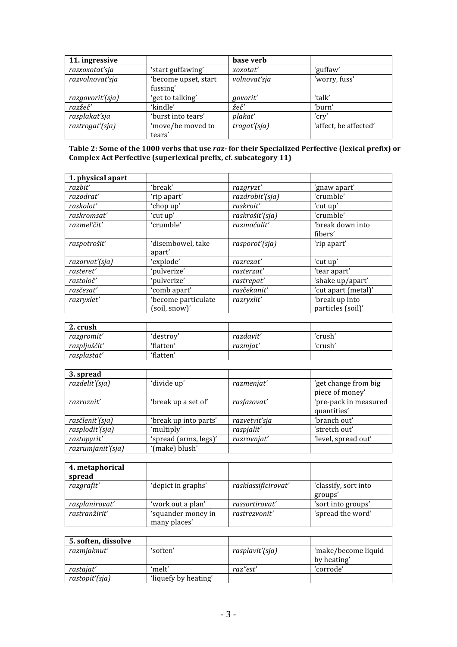| 11. ingressive   |                                  | base verb    |                       |
|------------------|----------------------------------|--------------|-----------------------|
| rasxoxotat'sja   | 'start guffawing'                | xoxotat'     | 'guffaw'              |
| razvolnovať sja  | 'become upset, start<br>fussing' | volnovať sja | 'worry, fuss'         |
| razgovorit'(sja) | 'get to talking'                 | govorit'     | 'talk'                |
| razžeč'          | 'kindle'                         | žeč′         | 'burn'                |
| rasplakat'sja    | 'burst into tears'               | plakat'      | 'crv                  |
| rastrogat'(sja)  | 'move/be moved to<br>tears'      | trogat'(sja) | 'affect, be affected' |

## **Table 2: Some of the 1000 verbs that use** *raz* **for their Specialized Perfective (lexical prefix) or Complex Act Perfective (superlexical prefix, cf. subcategory 11)**

| 1. physical apart |                                      |                 |                                     |
|-------------------|--------------------------------------|-----------------|-------------------------------------|
| razbit'           | 'break'                              | razgryzt'       | 'gnaw apart'                        |
| razodrať          | 'rip apart'                          | razdrobit'(sja) | 'crumble'                           |
| raskolot'         | 'chop up'                            | raskroit'       | 'cut up'                            |
| raskromsat'       | 'cut up'                             | raskrošit'(sja) | 'crumble'                           |
| razmel'čit'       | 'crumble'                            | razmočalit'     | 'break down into<br>fibers'         |
| raspotrošiť       | 'disembowel, take<br>apart'          | rasporot'(sja)  | 'rip apart'                         |
| razorvat'(sja)    | 'explode'                            | razrezat'       | 'cut up'                            |
| rasteret'         | 'pulverize'                          | rasterzat'      | 'tear apart'                        |
| rastoloč'         | 'pulverize'                          | rastrepat'      | 'shake up/apart'                    |
| rasčesať          | 'comb apart'                         | rasčekanit'     | 'cut apart (metal)'                 |
| razryxlet'        | 'become particulate<br>(soil, snow)' | razryxlit'      | 'break up into<br>particles (soil)' |

| 2. crush     |           |           |         |
|--------------|-----------|-----------|---------|
| razgromit'   | 'destroy' | razdavit' | 'crush' |
| raspljuščit' | 'flatten' | razmiat'  | 'crush' |
| rasplastat'  | 'flatten' |           |         |

| 3. spread         |                       |               |                                         |
|-------------------|-----------------------|---------------|-----------------------------------------|
| razdelit'(sja)    | 'divide up'           | razmenjat'    | 'get change from big<br>piece of money' |
| razroznit'        | 'break up a set of'   | rasfasovat'   | 'pre-pack in measured<br>quantities'    |
| rasčlenit'(sja)   | 'break up into parts' | razvetviť sja | 'branch out'                            |
| rasplodit'(sja)   | 'multiply'            | raspjalit'    | 'stretch out'                           |
| rastopyrit'       | 'spread (arms, legs)' | razrovnjať    | 'level, spread out'                     |
| razrumjanit'(sja) | '(make) blush'        |               |                                         |

| 4. metaphorical<br>spread |                                    |                     |                                 |
|---------------------------|------------------------------------|---------------------|---------------------------------|
| razgrafit'                | 'depict in graphs'                 | rasklassificirovat' | 'classify, sort into<br>groups' |
| rasplanirovat'            | 'work out a plan'                  | rassortirovat'      | 'sort into groups'              |
| rastranžirit'             | 'squander money in<br>many places' | rastrezvonit'       | 'spread the word'               |

| 5. soften, dissolve |                      |                 |                     |
|---------------------|----------------------|-----------------|---------------------|
| razmjaknut'         | 'soften'             | rasplavit'(sja) | 'make/become liquid |
|                     |                      |                 | by heating'         |
| rastajat'           | 'melt'               | raz"est'        | 'corrode'           |
| rastopit'(sja)      | 'liquefy by heating' |                 |                     |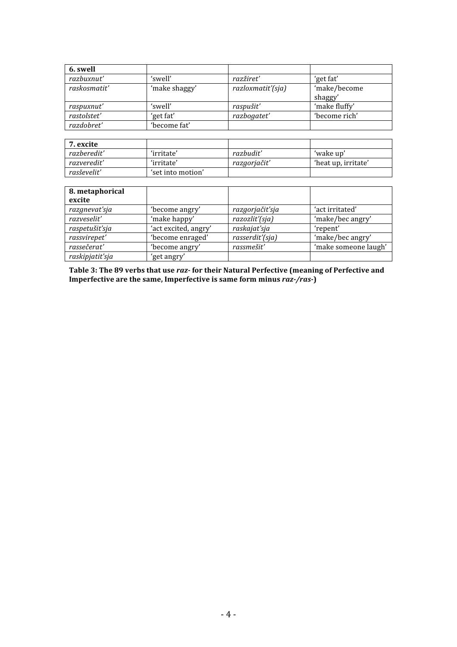| 6. swell     |               |                   |               |
|--------------|---------------|-------------------|---------------|
| razbuxnut'   | 'swell'       | razžireť          | 'get fat'     |
| raskosmatit' | 'make shaggy' | razloxmatit'(sja) | 'make/become  |
|              |               |                   | shaggy'       |
| raspuxnut'   | 'swell'       | raspušit'         | 'make fluffy' |
| rastolstet'  | 'get fat'     | razbogatet'       | 'become rich' |
| razdobret'   | 'become fat'  |                   |               |

| 7. excite   |                   |             |                     |
|-------------|-------------------|-------------|---------------------|
| razberedit' | 'irritate'        | razbudit'   | 'wake up'           |
| razveredit' | 'irritate'        | razgorjačiť | 'heat up, irritate' |
| rasševelit' | 'set into motion' |             |                     |

| 8. metaphorical<br>excite |                      |                 |                      |
|---------------------------|----------------------|-----------------|----------------------|
| razgnevať sja             | 'become angry'       | razgorjačiť sja | 'act irritated'      |
| razveselit'               | 'make happy'         | razozlit'(sja)  | 'make/bec angry'     |
| raspetušiť sja            | 'act excited, angry' | raskajat'sja    | 'repent'             |
| rassvirepet'              | 'become enraged'     | rasserdit'(sja) | 'make/bec angry'     |
| rassečerat'               | 'become angry'       | rassmešit'      | 'make someone laugh' |
| raskipjatit'sja           | 'get angry'          |                 |                      |

**Table 3: The 89 verbs that use** *raz* **for their Natural Perfective (meaning of Perfective and Imperfective are the same, Imperfective is same form minus** *raz/ras***)**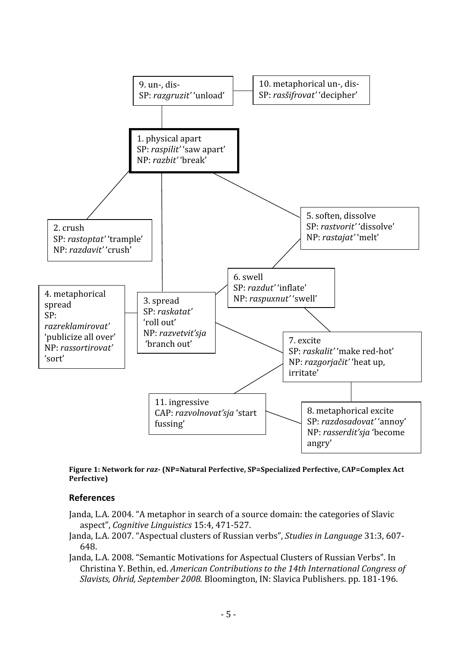

**Figure 1: Network for** *raz* **(NP=Natural Perfective, SP=Specialized Perfective, CAP=Complex Act Perfective)**

## **References**

- Janda,
L.A.
2004.
"A
metaphor
in
search
of
a
source
domain:
the
categories
of
Slavic aspect", *Cognitive
Linguistics*15:4,
471‐527.
- Janda,
L.A.
2007.
"Aspectual
clusters
of
Russian
verbs", *Studies
in
Language*31:3,
607‐ 648.
- Janda, L.A. 2008. "Semantic Motivations for Aspectual Clusters of Russian Verbs". In Christina
Y.
Bethin,
ed. *American
Contributions
to
the
14th
International
Congress
of Slavists,
Ohrid,
September
2008.* Bloomington,
IN:
Slavica
Publishers.
pp.
181‐196.